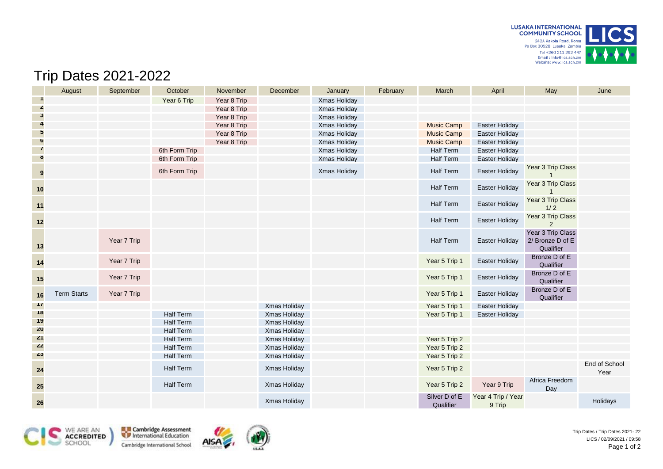

## Trip Dates 2021-2022

|               | August             | September   | October          | November    | December     | January      | February | March                      | April                        | May                                                | June                  |
|---------------|--------------------|-------------|------------------|-------------|--------------|--------------|----------|----------------------------|------------------------------|----------------------------------------------------|-----------------------|
|               |                    |             | Year 6 Trip      | Year 8 Trip |              | Xmas Holiday |          |                            |                              |                                                    |                       |
| Z             |                    |             |                  | Year 8 Trip |              | Xmas Holiday |          |                            |                              |                                                    |                       |
| $\mathbf{3}$  |                    |             |                  | Year 8 Trip |              | Xmas Holiday |          |                            |                              |                                                    |                       |
| 4             |                    |             |                  | Year 8 Trip |              | Xmas Holiday |          | <b>Music Camp</b>          | Easter Holiday               |                                                    |                       |
| $\mathbf{p}$  |                    |             |                  | Year 8 Trip |              | Xmas Holiday |          | <b>Music Camp</b>          | Easter Holiday               |                                                    |                       |
| <sub>0</sub>  |                    |             |                  | Year 8 Trip |              | Xmas Holiday |          | <b>Music Camp</b>          | Easter Holiday               |                                                    |                       |
|               |                    |             | 6th Form Trip    |             |              | Xmas Holiday |          | <b>Half Term</b>           | Easter Holiday               |                                                    |                       |
| ŏ             |                    |             | 6th Form Trip    |             |              | Xmas Holiday |          | <b>Half Term</b>           | Easter Holiday               |                                                    |                       |
| 9             |                    |             | 6th Form Trip    |             |              | Xmas Holiday |          | Half Term                  | Easter Holiday               | Year 3 Trip Class                                  |                       |
| 10            |                    |             |                  |             |              |              |          | Half Term                  | Easter Holiday               | Year 3 Trip Class                                  |                       |
| $11$          |                    |             |                  |             |              |              |          | <b>Half Term</b>           | Easter Holiday               | Year 3 Trip Class<br>$1/2$                         |                       |
| 12            |                    |             |                  |             |              |              |          | <b>Half Term</b>           | Easter Holiday               | Year 3 Trip Class<br>2                             |                       |
| $13$          |                    | Year 7 Trip |                  |             |              |              |          | <b>Half Term</b>           | <b>Easter Holiday</b>        | Year 3 Trip Class<br>2/ Bronze D of E<br>Qualifier |                       |
| $14$          |                    | Year 7 Trip |                  |             |              |              |          | Year 5 Trip 1              | Easter Holiday               | Bronze D of E<br>Qualifier                         |                       |
| 15            |                    | Year 7 Trip |                  |             |              |              |          | Year 5 Trip 1              | Easter Holiday               | Bronze D of E<br>Qualifier                         |                       |
| 16            | <b>Term Starts</b> | Year 7 Trip |                  |             |              |              |          | Year 5 Trip 1              | Easter Holiday               | Bronze D of E<br>Qualifier                         |                       |
| $\frac{1}{2}$ |                    |             |                  |             | Xmas Holiday |              |          | Year 5 Trip 1              | Easter Holiday               |                                                    |                       |
| 18            |                    |             | <b>Half Term</b> |             | Xmas Holiday |              |          | Year 5 Trip 1              | <b>Easter Holiday</b>        |                                                    |                       |
| 19            |                    |             | <b>Half Term</b> |             | Xmas Holiday |              |          |                            |                              |                                                    |                       |
| <b>ZU</b>     |                    |             | <b>Half Term</b> |             | Xmas Holiday |              |          |                            |                              |                                                    |                       |
| 21            |                    |             | <b>Half Term</b> |             | Xmas Holiday |              |          | Year 5 Trip 2              |                              |                                                    |                       |
| 22            |                    |             | <b>Half Term</b> |             | Xmas Holiday |              |          | Year 5 Trip 2              |                              |                                                    |                       |
| 23            |                    |             | <b>Half Term</b> |             | Xmas Holiday |              |          | Year 5 Trip 2              |                              |                                                    |                       |
| 24            |                    |             | <b>Half Term</b> |             | Xmas Holiday |              |          | Year 5 Trip 2              |                              |                                                    | End of School<br>Year |
| <b>25</b>     |                    |             | <b>Half Term</b> |             | Xmas Holiday |              |          | Year 5 Trip 2              | Year 9 Trip                  | Africa Freedom<br>Day                              |                       |
| 26            |                    |             |                  |             | Xmas Holiday |              |          | Silver D of E<br>Qualifier | Year 4 Trip / Year<br>9 Trip |                                                    | Holidays              |



Cambridge Assessment Cambridge International School



Trip Dates / Trip Dates 2021- 22 LICS / 02/09/2021 / 09:58 Page 1 of 2